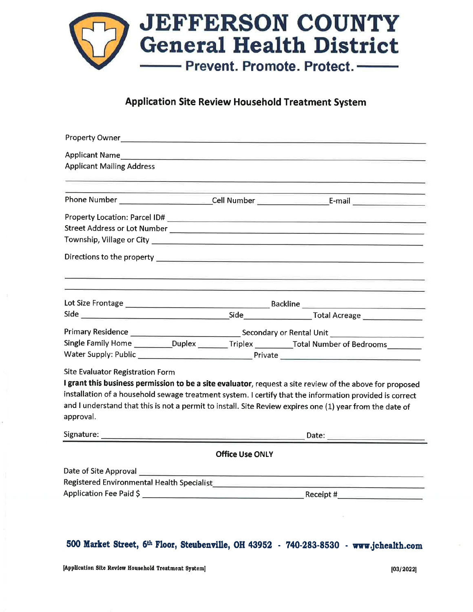

### **Application Site Review Household Treatment System**

| <b>Applicant Mailing Address</b>                                                                        |                        |                                                                                                          |  |  |  |  |
|---------------------------------------------------------------------------------------------------------|------------------------|----------------------------------------------------------------------------------------------------------|--|--|--|--|
|                                                                                                         |                        |                                                                                                          |  |  |  |  |
|                                                                                                         |                        |                                                                                                          |  |  |  |  |
|                                                                                                         |                        |                                                                                                          |  |  |  |  |
|                                                                                                         |                        |                                                                                                          |  |  |  |  |
|                                                                                                         |                        |                                                                                                          |  |  |  |  |
|                                                                                                         |                        | 그 사람들은 이 <u>사람들은 아</u> 들을 만들고 있다. 이 사람들은 아들의 사람들은 아들을 만들고 있다. 이 사람들은 아들의 사람들은 아들이 아들이 있다.                |  |  |  |  |
|                                                                                                         |                        |                                                                                                          |  |  |  |  |
|                                                                                                         |                        |                                                                                                          |  |  |  |  |
|                                                                                                         |                        |                                                                                                          |  |  |  |  |
|                                                                                                         |                        | Single Family Home ___________Duplex _________Triplex __________Total Number of Bedrooms__________       |  |  |  |  |
|                                                                                                         |                        |                                                                                                          |  |  |  |  |
| Site Evaluator Registration Form                                                                        |                        |                                                                                                          |  |  |  |  |
|                                                                                                         |                        | I grant this business permission to be a site evaluator, request a site review of the above for proposed |  |  |  |  |
| installation of a household sewage treatment system. I certify that the information provided is correct |                        |                                                                                                          |  |  |  |  |
| approval.                                                                                               |                        | and I understand that this is not a permit to install. Site Review expires one (1) year from the date of |  |  |  |  |
|                                                                                                         |                        |                                                                                                          |  |  |  |  |
|                                                                                                         | <b>Office Use ONLY</b> |                                                                                                          |  |  |  |  |
|                                                                                                         |                        |                                                                                                          |  |  |  |  |
|                                                                                                         |                        |                                                                                                          |  |  |  |  |
|                                                                                                         |                        |                                                                                                          |  |  |  |  |
|                                                                                                         |                        |                                                                                                          |  |  |  |  |
|                                                                                                         |                        |                                                                                                          |  |  |  |  |

## 500 Market Street, 6th Floor, Steubenville, OH 43952 - 740-283-8530 - www.jchealth.com